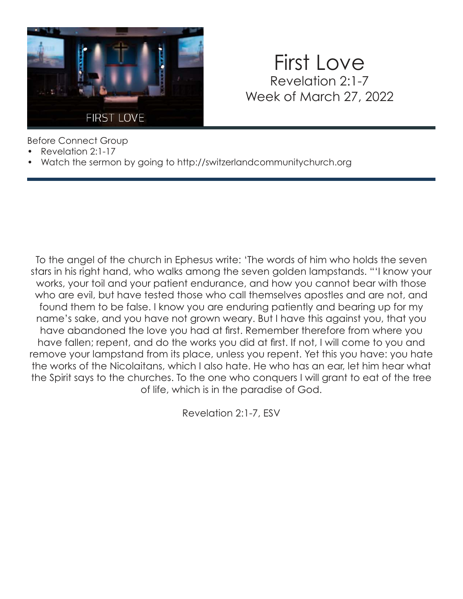

### First Love Revelation 2:1-7 Week of March 27, 2022

Before Connect Group

- Revelation 2:1-17
- Watch the sermon by going to http://switzerlandcommunitychurch.org

To the angel of the church in Ephesus write: 'The words of him who holds the seven stars in his right hand, who walks among the seven golden lampstands. "'I know your works, your toil and your patient endurance, and how you cannot bear with those who are evil, but have tested those who call themselves apostles and are not, and found them to be false. I know you are enduring patiently and bearing up for my name's sake, and you have not grown weary. But I have this against you, that you have abandoned the love you had at first. Remember therefore from where you have fallen; repent, and do the works you did at first. If not, I will come to you and remove your lampstand from its place, unless you repent. Yet this you have: you hate the works of the Nicolaitans, which I also hate. He who has an ear, let him hear what the Spirit says to the churches. To the one who conquers I will grant to eat of the tree of life, which is in the paradise of God.

Revelation 2:1-7, ESV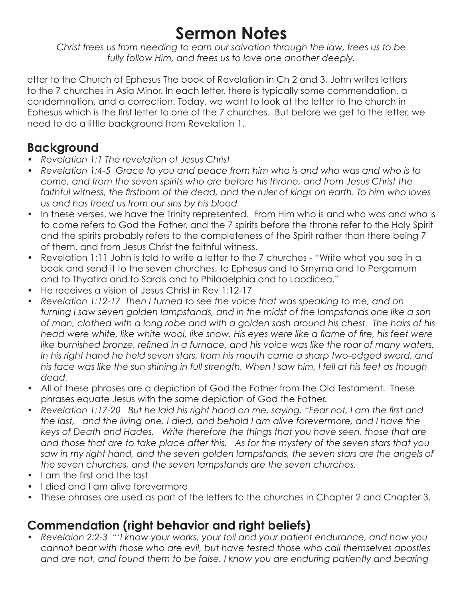## **Sermon Notes**

*Christ frees us from needing to earn our salvation through the law, frees us to be fully follow Him, and frees us to love one another deeply.*

etter to the Church at Ephesus The book of Revelation in Ch 2 and 3, John writes letters to the 7 churches in Asia Minor. In each letter, there is typically some commendation, a condemnation, and a correction. Today, we want to look at the letter to the church in Ephesus which is the first letter to one of the 7 churches. But before we get to the letter, we need to do a little background from Revelation 1.

#### **Background**

- *Revelation 1:1 The revelation of Jesus Christ*
- *Revelation 1:4-5 Grace to you and peace from him who is and who was and who is to come, and from the seven spirits who are before his throne, and from Jesus Christ the faithful witness, the firstborn of the dead, and the ruler of kings on earth. To him who loves us and has freed us from our sins by his blood*
- In these verses, we have the Trinity represented. From Him who is and who was and who is to come refers to God the Father, and the 7 spirits before the throne refer to the Holy Spirit and the spirits probably refers to the completeness of the Spirit rather than there being 7 of them, and from Jesus Christ the faithful witness.
- Revelation 1:11 John is told to write a letter to the 7 churches "Write what you see in a book and send it to the seven churches, to Ephesus and to Smyrna and to Pergamum and to Thyatira and to Sardis and to Philadelphia and to Laodicea."
- He receives a vision of Jesus Christ in Rev 1:12-17
- Revelation 1:12-17 Then I turned to see the voice that was speaking to me, and on *turning I saw seven golden lampstands, and in the midst of the lampstands one like a son of man, clothed with a long robe and with a golden sash around his chest. The hairs of his head were white, like white wool, like snow. His eyes were like a flame of fire, his feet were like burnished bronze, refined in a furnace, and his voice was like the roar of many waters.*  In his right hand he held seven stars, from his mouth came a sharp two-edged sword, and *his face was like the sun shining in full strength. When I saw him, I fell at his feet as though dead.*
- All of these phrases are a depiction of God the Father from the Old Testament. These phrases equate Jesus with the same depiction of God the Father.
- *Revelation 1:17-20 But he laid his right hand on me, saying, "Fear not, I am the first and the last, and the living one. I died, and behold I am alive forevermore, and I have the keys of Death and Hades. Write therefore the things that you have seen, those that are and those that are to take place after this. As for the mystery of the seven stars that you saw in my right hand, and the seven golden lampstands, the seven stars are the angels of the seven churches, and the seven lampstands are the seven churches.*
- I am the first and the last
- I died and I am alive forevermore
- These phrases are used as part of the letters to the churches in Chapter 2 and Chapter 3.

#### **Commendation (right behavior and right beliefs)**

*• Revelaion 2:2-3 "'I know your works, your toil and your patient endurance, and how you cannot bear with those who are evil, but have tested those who call themselves apostles*  and are not, and found them to be false. I know you are enduring patiently and bearing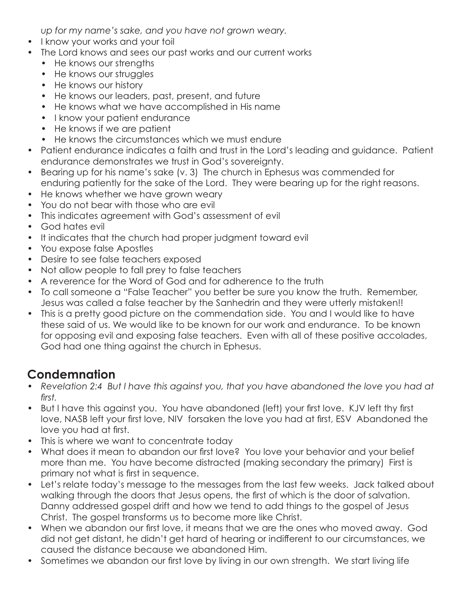*up for my name's sake, and you have not grown weary.* 

- I know your works and your toil
- The Lord knows and sees our past works and our current works
	- He knows our strengths
	- He knows our struggles
	- He knows our history
	- He knows our leaders, past, present, and future
	- He knows what we have accomplished in His name
	- I know your patient endurance
	- He knows if we are patient
	- He knows the circumstances which we must endure
- Patient endurance indicates a faith and trust in the Lord's leading and guidance. Patient endurance demonstrates we trust in God's sovereignty.
- Bearing up for his name's sake (v. 3) The church in Ephesus was commended for enduring patiently for the sake of the Lord. They were bearing up for the right reasons.
- He knows whether we have grown weary
- You do not bear with those who are evil
- This indicates agreement with God's assessment of evil
- God hates evil
- It indicates that the church had proper judgment toward evil
- You expose false Apostles
- Desire to see false teachers exposed
- Not allow people to fall prey to false teachers
- A reverence for the Word of God and for adherence to the truth
- To call someone a "False Teacher" you better be sure you know the truth. Remember, Jesus was called a false teacher by the Sanhedrin and they were utterly mistaken!!
- This is a pretty good picture on the commendation side. You and I would like to have these said of us. We would like to be known for our work and endurance. To be known for opposing evil and exposing false teachers. Even with all of these positive accolades, God had one thing against the church in Ephesus.

#### **Condemnation**

- *Revelation 2:4 But I have this against you, that you have abandoned the love you had at first.*
- But I have this against you. You have abandoned (left) your first love. KJV left thy first love, NASB left your first love, NIV forsaken the love you had at first, ESV Abandoned the love you had at first.
- This is where we want to concentrate today
- What does it mean to abandon our first love? You love your behavior and your belief more than me. You have become distracted (making secondary the primary) First is primary not what is first in sequence.
- Let's relate today's message to the messages from the last few weeks. Jack talked about walking through the doors that Jesus opens, the first of which is the door of salvation. Danny addressed gospel drift and how we tend to add things to the gospel of Jesus Christ. The gospel transforms us to become more like Christ.
- When we abandon our first love, it means that we are the ones who moved away. God did not get distant, he didn't get hard of hearing or indifferent to our circumstances, we caused the distance because we abandoned Him.
- Sometimes we abandon our first love by living in our own strength. We start living life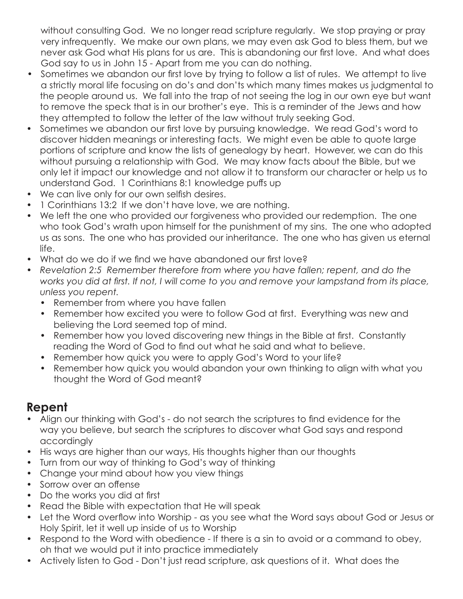without consulting God. We no longer read scripture regularly. We stop praying or pray very infrequently. We make our own plans, we may even ask God to bless them, but we never ask God what His plans for us are. This is abandoning our first love. And what does God say to us in John 15 - Apart from me you can do nothing.

- Sometimes we abandon our first love by trying to follow a list of rules. We attempt to live a strictly moral life focusing on do's and don'ts which many times makes us judgmental to the people around us. We fall into the trap of not seeing the log in our own eye but want to remove the speck that is in our brother's eye. This is a reminder of the Jews and how they attempted to follow the letter of the law without truly seeking God.
- Sometimes we abandon our first love by pursuing knowledge. We read God's word to discover hidden meanings or interesting facts. We might even be able to quote large portions of scripture and know the lists of genealogy by heart. However, we can do this without pursuing a relationship with God. We may know facts about the Bible, but we only let it impact our knowledge and not allow it to transform our character or help us to understand God. 1 Corinthians 8:1 knowledge puffs up
- We can live only for our own selfish desires.
- 1 Corinthians 13:2 If we don't have love, we are nothing.
- We left the one who provided our forgiveness who provided our redemption. The one who took God's wrath upon himself for the punishment of my sins. The one who adopted us as sons. The one who has provided our inheritance. The one who has given us eternal life.
- What do we do if we find we have abandoned our first love?
- *Revelation 2:5 Remember therefore from where you have fallen; repent, and do the works you did at first. If not, I will come to you and remove your lampstand from its place, unless you repent.* 
	- Remember from where you have fallen
	- Remember how excited you were to follow God at first. Everything was new and believing the Lord seemed top of mind.
	- Remember how you loved discovering new things in the Bible at first. Constantly reading the Word of God to find out what he said and what to believe.
	- Remember how quick you were to apply God's Word to your life?
	- Remember how quick you would abandon your own thinking to align with what you thought the Word of God meant?

#### **Repent**

- Align our thinking with God's do not search the scriptures to find evidence for the way you believe, but search the scriptures to discover what God says and respond accordingly
- His ways are higher than our ways, His thoughts higher than our thoughts
- Turn from our way of thinking to God's way of thinking
- Change your mind about how you view things
- Sorrow over an offense
- Do the works you did at first
- Read the Bible with expectation that He will speak
- Let the Word overflow into Worship as you see what the Word says about God or Jesus or Holy Spirit, let it well up inside of us to Worship
- Respond to the Word with obedience If there is a sin to avoid or a command to obey, oh that we would put it into practice immediately
- Actively listen to God Don't just read scripture, ask questions of it. What does the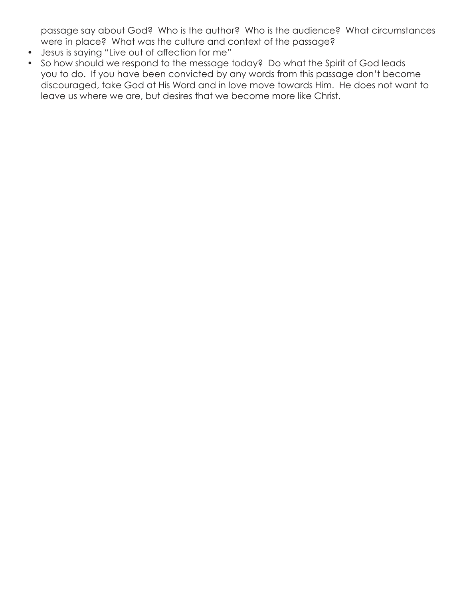passage say about God? Who is the author? Who is the audience? What circumstances were in place? What was the culture and context of the passage?

- Jesus is saying "Live out of affection for me"
- So how should we respond to the message today? Do what the Spirit of God leads you to do. If you have been convicted by any words from this passage don't become discouraged, take God at His Word and in love move towards Him. He does not want to leave us where we are, but desires that we become more like Christ.